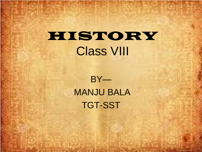### HISTORY Class VIII

BY— MANJU BALA TGT-SST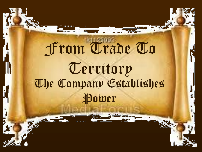# From Trade To Territory The Company Establishes Power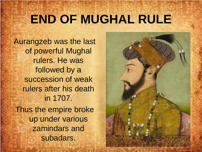### **END OF MUGHAL RULE**

Aurangzeb was the last of powerful Mughal rulers. He was followed by a succession of weak rulers after his death in 1707. Thus the empire broke up under various zamindars and subadars.

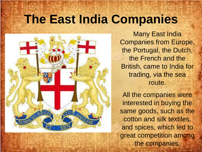#### **The East India Companies**



Many East India Companies from Europe, the Portugal, the Dutch, the French and the British, came to India for trading, via the sea route.

All the companies were interested in buying the same goods, such as the cotton and silk textiles, and spices, which led to great competition among the companies.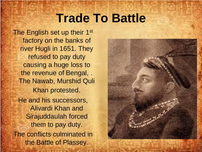#### **Trade To Battle**

The English set up their 1<sup>st</sup> factory on the banks of river Hugli in 1651. They refused to pay duty causing a huge loss to the revenue of Bengal, . The Nawab, Murshid Quli Khan protested. He and his successors, Alivardi Khan and Sirajuddaulah forced them to pay duty. The conflicts culminated in the Battle of Plassey.

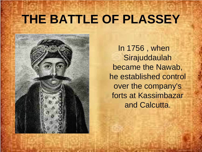# **THE BATTLE OF PLASSEY**



In 1756 , when **Sirajuddaulah** became the Nawab, he established control over the company's forts at Kassimbazar and Calcutta.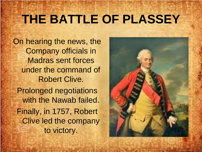# **THE BATTLE OF PLASSEY**

On hearing the news, the Company officials in Madras sent forces under the command of Robert Clive. Prolonged negotiations with the Nawab failed. Finally, in 1757, Robert Clive led the company to victory.

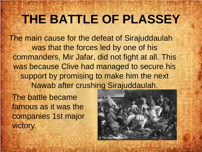# **THE BATTLE OF PLASSEY**

The main cause for the defeat of Sirajuddaulah was that the forces led by one of his commanders, Mir Jafar, did not fight at all. This was because Clive had managed to secure his support by promising to make him the next Nawab after crushing Sirajuddaulah.

The battle became famous as it was the companies 1st major victory.

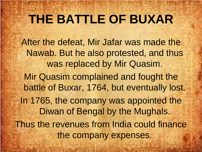# **THE BATTLE OF BUXAR**

After the defeat, Mir Jafar was made the Nawab. But he also protested, and thus was replaced by Mir Quasim.

Mir Quasim complained and fought the battle of Buxar, 1764, but eventually lost. In 1765, the company was appointed the Diwan of Bengal by the Mughals.

Thus the revenues from India could finance the company expenses.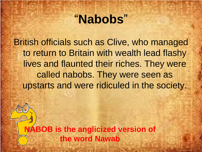#### ―**Nabobs**‖

British officials such as Clive, who managed to return to Britain with wealth lead flashy lives and flaunted their riches. They were called nabobs. They were seen as upstarts and were ridiculed in the society.

**NABOB is the anglicized version of the word Nawab**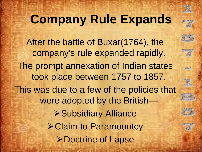

# **Company Rule Expands**

**GROVER** 

After the battle of Buxar(1764), the company's rule expanded rapidly. The prompt annexation of Indian states took place between 1757 to 1857. This was due to a few of the policies that were adopted by the British— Subsidiary Alliance **≻Claim to Paramountcy ≻Doctrine of Lapse**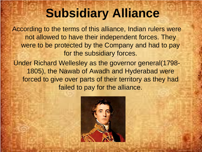# **Subsidiary Alliance**

According to the terms of this alliance, Indian rulers were not allowed to have their independent forces. They were to be protected by the Company and had to pay for the subsidiary forces.

Under Richard Wellesley as the governor general(1798- 1805), the Nawab of Awadh and Hyderabad were forced to give over parts of their territory as they had failed to pay for the alliance.

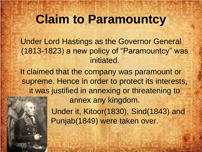#### **Claim to Paramountcy**

Under Lord Hastings as the Governor General (1813-1823) a new policy of "Paramountcy" was initiated.

It claimed that the company was paramount or supreme. Hence in order to protect its interests, it was justified in annexing or threatening to annex any kingdom.



Under it, Kitoor(1830), Sind(1843) and Punjab(1849) were taken over.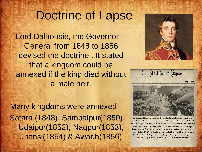#### Doctrine of Lapse

Lord Dalhousie, the Governor General from 1848 to 1856 devised the doctrine . It stated that a kingdom could be annexed if the king died without a male heir.

Many kingdoms were annexed— Satara (1848), Sambalpur(1850), Udaipur(1852), Nagpur(1853), Jhansi(1854) & Awadh(1856)





The Doctrine of Lapse' was a British policy regarding Britain's Indian subject nations, the Princely States, that stated that any such nation could be immediately annexed by the British East India company if the ruler died without a direct heir, or if the ruler was found 'manifestly incompetent'. The doctrine was used historically to annex the states of Satara, Sambalpur, Nagpur, Jhansi and Awadh, the latter being annexation being one of the sparks that ignited the Sepoy Rebellion of 1857. The doctrine was repudiated with the Establishment of the British Raj in 1858. Due to the tragic state of affairs that pervades the government of Nagpur, the East India Company today declared that country's independence null and void.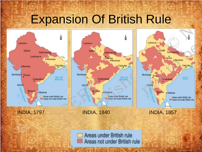#### Expansion Of British Rule







INDIA, 1797 INDIA, 1840 INDIA, 1857

**Mysore** 

Lahore ...

Poona

Bombay<sup>®</sup>

GOA<sub>1</sub>

· Delhi

Kathmandu

· Benaras

Calcutta

**MY OF** 

Areas under British rule

Areas not under British rule

Lucknow

Hyderabad

· Madras

Ceylon

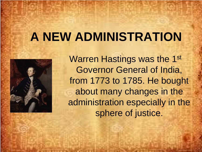#### **A NEW ADMINISTRATION**



Warren Hastings was the 1st Governor General of India, from 1773 to 1785. He bought about many changes in the administration especially in the sphere of justice.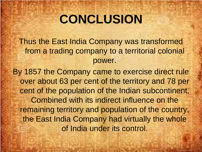# **CONCLUSION**

Thus the East India Company was transformed from a trading company to a territorial colonial power.

By 1857 the Company came to exercise direct rule over about 63 per cent of the territory and 78 per cent of the population of the Indian subcontinent. Combined with its indirect influence on the remaining territory and population of the country, the East India Company had virtually the whole of India under its control.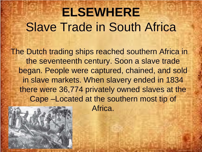# **ELSEWHERE** Slave Trade in South Africa

The Dutch trading ships reached southern Africa in the seventeenth century. Soon a slave trade began. People were captured, chained, and sold in slave markets. When slavery ended in 1834 there were 36,774 privately owned slaves at the Cape –Located at the southern most tip of

Africa.